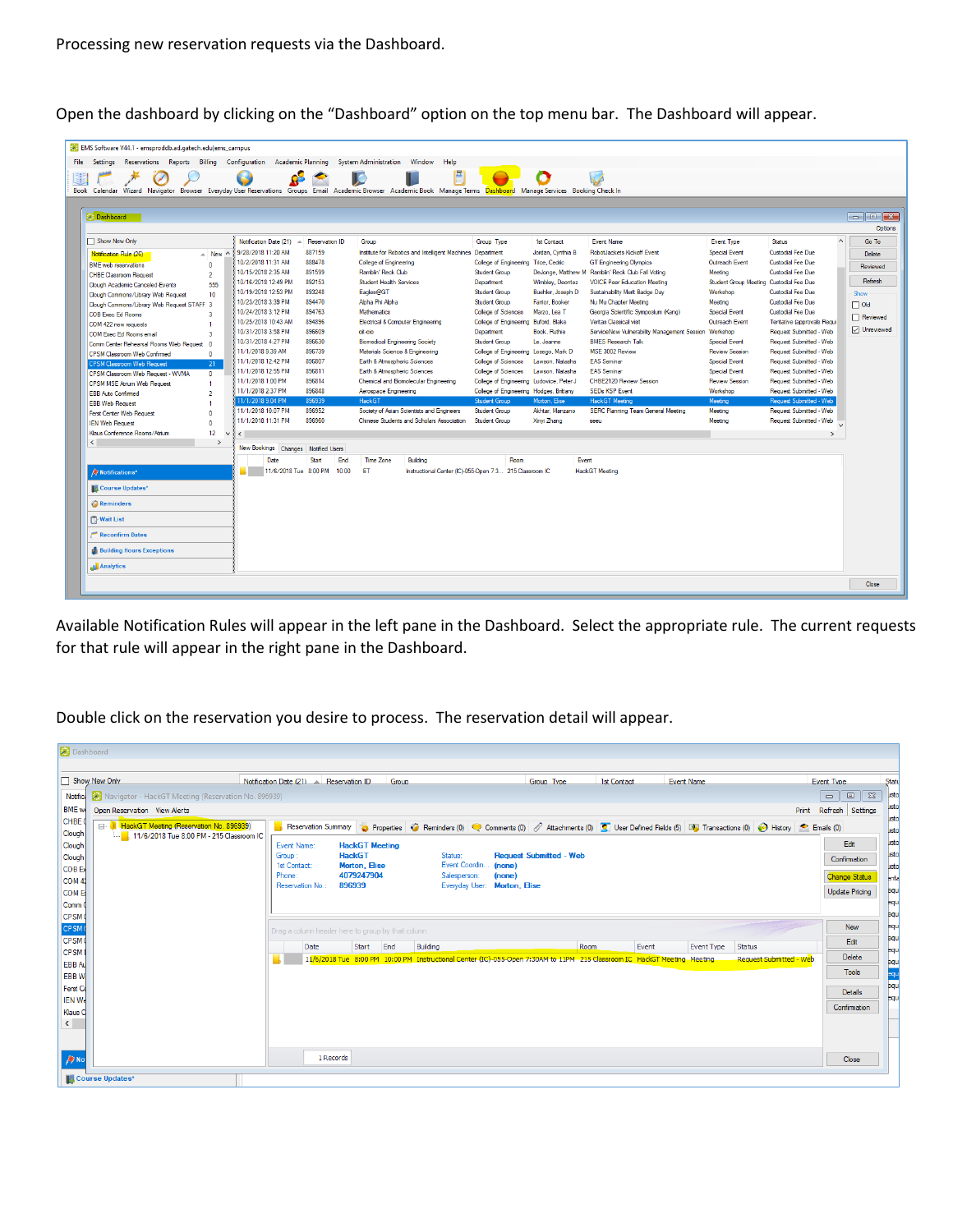Open the dashboard by clicking on the "Dashboard" option on the top menu bar. The Dashboard will appear.

| EMS Software V44.1 - emsproddb.ad.gatech.edulems_campus<br>Reservations Reports Billing Configuration<br>File Settings                                                | Academic Planning                    |                       | <b>System Administration</b><br>Window<br>Help                |                                          |                   |                                                      |                                         |                            |                     |
|-----------------------------------------------------------------------------------------------------------------------------------------------------------------------|--------------------------------------|-----------------------|---------------------------------------------------------------|------------------------------------------|-------------------|------------------------------------------------------|-----------------------------------------|----------------------------|---------------------|
|                                                                                                                                                                       |                                      |                       | 區                                                             |                                          |                   |                                                      |                                         |                            |                     |
| Book Calendar Wizard Navigator Browser Everyday User Reservations Groups Email Academic Browser Academic Book Manage Terms Dashboard Manage Services Booking Check In |                                      |                       |                                                               |                                          |                   |                                                      |                                         |                            |                     |
|                                                                                                                                                                       |                                      |                       |                                                               |                                          |                   |                                                      |                                         |                            |                     |
| Dashboard                                                                                                                                                             |                                      |                       |                                                               |                                          |                   |                                                      |                                         |                            | Options             |
| Show New Only                                                                                                                                                         | Notification Date (21) $\rightarrow$ | <b>Reservation ID</b> | Group                                                         | Group Type                               | 1st Contact       | <b>Event Name</b>                                    | <b>Event Type</b>                       | Status                     | Go To               |
| $\triangle$ New $\wedge$<br>Notification Rule (26)                                                                                                                    | 9/28/2018 11:20 AM                   | 887159                | Institute for Robotics and Intelligent Machines Department    |                                          | Jordan, Cynthia B | RobotJackets Kickoff Event                           | <b>Special Event</b>                    | Custodial Fee Due          | Delete              |
| <b>BME</b> web reservations<br>$\Omega$                                                                                                                               | 10/2/2018 11:31 AM                   | 888478                | College of Engineering                                        | College of Engineering Trice, Cedric     |                   | <b>GT</b> Engineering Olympics                       | Outreach Event                          | Custodial Fee Due          | Reviewed            |
| <b>CHBE Classroom Request</b><br>$\overline{2}$                                                                                                                       | 10/15/2018 2:35 AM                   | 891599                | Ramblin' Reck Club                                            | Student Group                            |                   | DeJonge, Matthew M Ramblin' Reck Club Fall Voting    | Meeting                                 | Custodial Fee Due          |                     |
| 555<br>Clough Academic Canceled-Events                                                                                                                                | 10/16/2018 12:49 PM                  | 892153                | <b>Student Health Services</b>                                | Department                               | Wimblev, Deontez  | <b>VOICE Peer Education Meeting</b>                  | Student Group Meeting Custodial Fee Due |                            | Refresh             |
| 10<br>Clough Commons/Library Web Request                                                                                                                              | 10/19/2018 12:53 PM                  | 893248                | Eagles@GT                                                     | Student Group                            | Buehler, Joseph D | Sustainability Merit Badge Dav                       | Workshop                                | Custodial Fee Due          | Show                |
| Clough Commons/Library Web Request STAFF 3                                                                                                                            | 10/23/2018 3:39 PM                   | 894470                | Aloha Phi Aloha                                               | Student Group                            | Famor, Booker     | Nu Mu Chapter Meeting                                | Meeting                                 | Custodial Fee Due          | $\Box$ Old          |
| <b>COB Exec Ed Rooms</b><br>$\overline{\mathbf{a}}$                                                                                                                   | 10/24/2018 3:12 PM                   | 894763                | <b>Mathematics</b>                                            | <b>College of Sciences</b>               | Marzo, Lea T      | Georgia Scientific Symposium (Kang)                  | <b>Special Event</b>                    | Custodial Fee Due          |                     |
| COM 422 new requests<br>$\mathbf{1}$                                                                                                                                  | 10/25/2018 10:43 AM                  | 894896                | Electrical & Computer Engineering                             | College of Engineering Buford, Blake     |                   | Veritas Classical visit                              | Outreach Event                          | Tentative (approvals Requi | Reviewed            |
| COM Exec Ed Rooms email<br>$\overline{3}$                                                                                                                             | 10/31/2018 3:58 PM                   | 896609                | olt-cio                                                       | Department                               | Book, Ruthie      | ServiceNow Vulnerability Management Session Workshop |                                         | Request Submitted - Web    | <b>□</b> Unreviewed |
| Comm Center Rebearsal Rooms Web Request<br>$\sqrt{2}$                                                                                                                 | 10/31/2018 4:27 PM                   | 896630                | <b>Biomedical Engineering Society</b>                         | Student Group                            | Le, Jeanne        | <b>BMES Research Talk</b>                            | Special Event                           | Request Submitted - Web    |                     |
| <b>CPSM Classroom Web Confirmed</b><br>$\bf{0}$                                                                                                                       | 11/1/2018 9:39 AM                    | 896739                | Materials Science & Engineering                               | College of Engineering Losego, Mark D    |                   | MSE 3002 Review                                      | <b>Review Session</b>                   | Request Submitted - Web    |                     |
| <b>CPSM Classroom Web Request</b><br>21                                                                                                                               | 11/1/2018 12:42 PM                   | 896807                | Earth & Atmospheric Sciences                                  | <b>College of Sciences</b>               | Lawson, Natasha   | <b>FAS Seminar</b>                                   | <b>Special Event</b>                    | Request Submitted - Web    |                     |
| CPSM Classroom Web Request - WVMA<br>$\mathbf{0}$                                                                                                                     | 11/1/2018 12:55 PM                   | 896811                | Earth & Atmospheric Sciences                                  | <b>College of Sciences</b>               | Lawson, Natasha   | <b>FAS Seminar</b>                                   | <b>Special Event</b>                    | Request Submitted - Web    |                     |
| <b>CPSM MSE Atrium Web Request</b><br>$\mathbf{1}$                                                                                                                    | 11/1/2018 1:00 PM                    | 896814                | Chemical and Biomolecular Engineering                         | College of Engineering Ludovice, Peter J |                   | CHBE2120 Review Session                              | <b>Review Session</b>                   | Request Submitted - Web    |                     |
| <b>EBB Auto Confirmed</b><br>$\overline{2}$                                                                                                                           | 11/1/2018 2:37 PM                    | 896848                | Aerospace Engineering                                         | College of Engineering Hodges, Brittany  |                   | <b>SEDs KSP Event</b>                                | Workshop                                | Request Submitted - Web    |                     |
| <b>EBB Web Request</b><br>$\mathbf{r}$                                                                                                                                | 11/1/2018 9:04 PM                    | 896939                | <b>HackGT</b>                                                 | <b>Student Group</b>                     | Morton, Elise     | HackGT Meeting                                       | Meeting                                 | Request Submitted - Web    |                     |
| <b>Ferst Center Web Request</b><br>$\sqrt{2}$                                                                                                                         | 11/1/2018 10:07 PM                   | 896952                | Society of Asian Scientists and Engineers                     | Student Group                            | Akhtar, Manzano   | SERC Planning Team General Meeting                   | Meeting                                 | Request Submitted - Web    |                     |
| <b>IEN Web Request</b><br>$\Omega$                                                                                                                                    | 11/1/2018 11:31 PM                   | 896960                | Chinese Students and Scholars Association                     | Student Group                            | Xinvi Zhang       | seeu                                                 | Meeting                                 | Request Submitted - Web    |                     |
| Klaus Conference Rooms/Atrium<br>12<br>$\sim$                                                                                                                         | $\left\langle \right\rangle$         |                       |                                                               |                                          |                   |                                                      |                                         | $\rightarrow$              |                     |
| $\epsilon$<br>$\rightarrow$                                                                                                                                           |                                      |                       |                                                               |                                          |                   |                                                      |                                         |                            |                     |
|                                                                                                                                                                       | New Bookings Changes Notified Users  |                       |                                                               |                                          |                   |                                                      |                                         |                            |                     |
|                                                                                                                                                                       | Date                                 | Start<br>End          | <b>Time Zone</b><br>Building                                  | Room                                     | Event             |                                                      |                                         |                            |                     |
| Notifications*                                                                                                                                                        | 11/6/2018 Tue 8:00 PM                | 10:00                 | ET<br>Instructional Center (IC)-055-Open 7:3 215 Classroom IC |                                          |                   | <b>HackGT</b> Meeting                                |                                         |                            |                     |
| <b>Course Updates*</b>                                                                                                                                                |                                      |                       |                                                               |                                          |                   |                                                      |                                         |                            |                     |
| <b>Reminders</b>                                                                                                                                                      |                                      |                       |                                                               |                                          |                   |                                                      |                                         |                            |                     |
| <b>Wait List</b>                                                                                                                                                      |                                      |                       |                                                               |                                          |                   |                                                      |                                         |                            |                     |
| <b>Reconfirm Dates</b>                                                                                                                                                |                                      |                       |                                                               |                                          |                   |                                                      |                                         |                            |                     |
| <b>Building Hours Exceptions</b>                                                                                                                                      |                                      |                       |                                                               |                                          |                   |                                                      |                                         |                            |                     |
| Analytics                                                                                                                                                             |                                      |                       |                                                               |                                          |                   |                                                      |                                         |                            |                     |
|                                                                                                                                                                       |                                      |                       |                                                               |                                          |                   |                                                      |                                         |                            |                     |

Available Notification Rules will appear in the left pane in the Dashboard. Select the appropriate rule. The current requests for that rule will appear in the right pane in the Dashboard.

Double click on the reservation you desire to process. The reservation detail will appear.

| Dashboard                              |                                                     |                                                   |                       |                                |                                                                                                                                                        |               |                   |                                                 |                                                |
|----------------------------------------|-----------------------------------------------------|---------------------------------------------------|-----------------------|--------------------------------|--------------------------------------------------------------------------------------------------------------------------------------------------------|---------------|-------------------|-------------------------------------------------|------------------------------------------------|
| Show New Only                          |                                                     | Notification Date $(21)$ A Reservation ID         | Group                 |                                | Group Type                                                                                                                                             | 1st Contact   | <b>Event Name</b> |                                                 | <b>Event Type</b>                              |
| Notific.                               | Navigator - HackGT Meeting (Reservation No. 896939) |                                                   |                       |                                |                                                                                                                                                        |               |                   |                                                 | $\Box$<br>$\boxed{23}$<br>$\qquad \qquad \Box$ |
| <b>BME</b> w                           | Open Reservation View Alerts                        |                                                   |                       |                                |                                                                                                                                                        |               |                   |                                                 | Print Refresh Settings                         |
| CHBE <sup>C</sup>                      | E HackGT Meeting (Reservation No. 896939)           |                                                   |                       |                                | Reservation Summary & Properties C Reminders (0) C Comments (0) C Attachments (0) C User Defined Fields (5) 10 Transactions (0) C History C Emails (0) |               |                   |                                                 |                                                |
| Clough<br>Clough                       | 11/6/2018 Tue 8:00 PM - 215 Classroom IC            | Event Name:                                       | <b>HackGT Meeting</b> |                                |                                                                                                                                                        |               |                   |                                                 | Edit                                           |
| Clough                                 |                                                     | Group                                             | <b>HackGT</b>         | Status:                        | <b>Request Submitted - Web</b>                                                                                                                         |               |                   |                                                 | Confirmation                                   |
| <b>COB Ex</b>                          |                                                     | 1st Contact:                                      | Morton, Elise         | Event Coordin                  | (none)                                                                                                                                                 |               |                   |                                                 |                                                |
| COM <sub>4</sub>                       |                                                     | Phone:<br>Reservation No.:                        | 4079247904<br>896939  | Salesperson:<br>Everyday User: | (none)<br><b>Morton, Elise</b>                                                                                                                         |               |                   |                                                 | <b>Change Status</b>                           |
| <b>COM E</b>                           |                                                     |                                                   |                       |                                |                                                                                                                                                        |               |                   |                                                 | <b>Update Pricing</b>                          |
| Comm 0                                 |                                                     |                                                   |                       |                                |                                                                                                                                                        |               |                   |                                                 |                                                |
| CPSM <sup>(</sup><br>CPSM <sup>(</sup> |                                                     |                                                   |                       |                                |                                                                                                                                                        |               |                   |                                                 | <b>New</b>                                     |
| CPSM <sub>0</sub>                      |                                                     | Drag a column header here to group by that column |                       |                                |                                                                                                                                                        |               |                   |                                                 | Edit                                           |
| <b>CPSM</b>                            |                                                     | Date                                              | Start<br>End          | Building                       | 11/6/2018 Tue 8:00 PM 10:00 PM Instructional Center (IC)-055-Open 7:30AM to 11PM 215 Classroom IC HackGT Meeting Meeting.                              | Room<br>Event | <b>Event Type</b> | <b>Status</b><br><b>Request Submitted - Web</b> | Delete                                         |
| EBB Au                                 |                                                     |                                                   |                       |                                |                                                                                                                                                        |               |                   |                                                 | <b>Tools</b>                                   |
| <b>EBBW</b>                            |                                                     |                                                   |                       |                                |                                                                                                                                                        |               |                   |                                                 |                                                |
| Ferst Co<br><b>IEN We</b>              |                                                     |                                                   |                       |                                |                                                                                                                                                        |               |                   |                                                 | Details                                        |
| <b>Klaus C</b>                         |                                                     |                                                   |                       |                                |                                                                                                                                                        |               |                   |                                                 | Confirmation                                   |
|                                        |                                                     |                                                   |                       |                                |                                                                                                                                                        |               |                   |                                                 |                                                |
|                                        |                                                     |                                                   |                       |                                |                                                                                                                                                        |               |                   |                                                 |                                                |
|                                        |                                                     |                                                   |                       |                                |                                                                                                                                                        |               |                   |                                                 |                                                |
| $\sqrt{N}$                             |                                                     | 1 Records                                         |                       |                                |                                                                                                                                                        |               |                   |                                                 | Close                                          |
| <b>Course Updates*</b>                 |                                                     |                                                   |                       |                                |                                                                                                                                                        |               |                   |                                                 |                                                |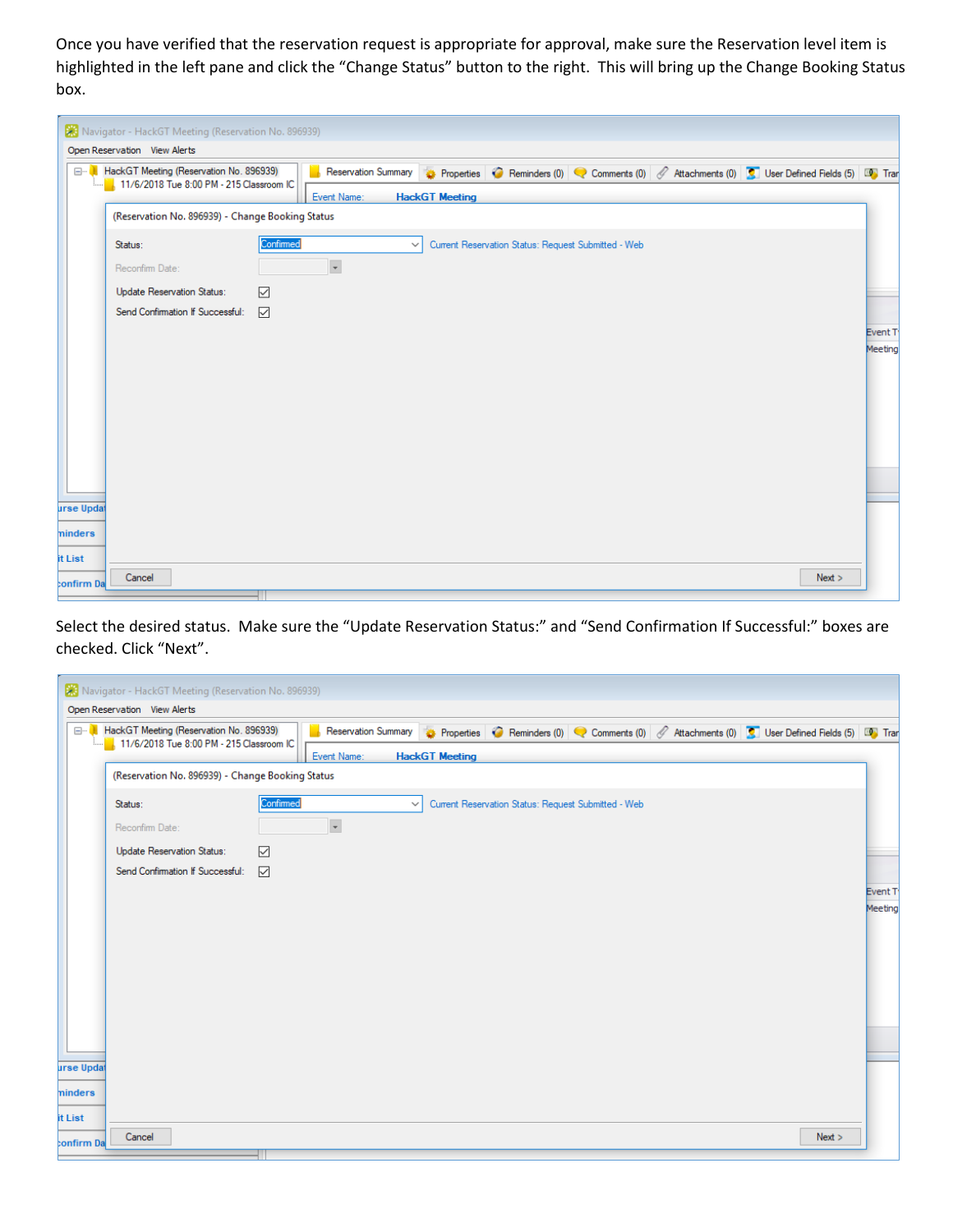Once you have verified that the reservation request is appropriate for approval, make sure the Reservation level item is highlighted in the left pane and click the "Change Status" button to the right. This will bring up the Change Booking Status box.

|                   | Navigator - HackGT Meeting (Reservation No. 896939) |           |                          |                       |                                                                                                                     |      |                    |
|-------------------|-----------------------------------------------------|-----------|--------------------------|-----------------------|---------------------------------------------------------------------------------------------------------------------|------|--------------------|
|                   | Open Reservation View Alerts                        |           |                          |                       |                                                                                                                     |      |                    |
| ⊟…                | HackGT Meeting (Reservation No. 896939)             |           |                          |                       | Reservation Summary & Properties C Reminders (0) C Comments (0) C Attachments (0) C User Defined Fields (5) LC Tran |      |                    |
|                   | 11/6/2018 Tue 8:00 PM - 215 Classroom IC            |           | Event Name:              | <b>HackGT</b> Meeting |                                                                                                                     |      |                    |
|                   | (Reservation No. 896939) - Change Booking Status    |           |                          |                       |                                                                                                                     |      |                    |
|                   | Status:                                             | Confirmed | $\checkmark$             |                       | Current Reservation Status: Request Submitted - Web                                                                 |      |                    |
|                   | Reconfirm Date:                                     |           | $\overline{\phantom{a}}$ |                       |                                                                                                                     |      |                    |
|                   | Update Reservation Status:                          | ☑         |                          |                       |                                                                                                                     |      |                    |
|                   | Send Confirmation If Successful:                    | ☑         |                          |                       |                                                                                                                     |      |                    |
|                   |                                                     |           |                          |                       |                                                                                                                     |      | Event <sub>T</sub> |
|                   |                                                     |           |                          |                       |                                                                                                                     |      | Meeting            |
|                   |                                                     |           |                          |                       |                                                                                                                     |      |                    |
|                   |                                                     |           |                          |                       |                                                                                                                     |      |                    |
|                   |                                                     |           |                          |                       |                                                                                                                     |      |                    |
|                   |                                                     |           |                          |                       |                                                                                                                     |      |                    |
|                   |                                                     |           |                          |                       |                                                                                                                     |      |                    |
| <b>urse Updat</b> |                                                     |           |                          |                       |                                                                                                                     |      |                    |
|                   |                                                     |           |                          |                       |                                                                                                                     |      |                    |
| ninders           |                                                     |           |                          |                       |                                                                                                                     |      |                    |
| it List           | Cancel                                              |           |                          |                       |                                                                                                                     | Next |                    |
| confirm Da        |                                                     |           |                          |                       |                                                                                                                     |      |                    |

Select the desired status. Make sure the "Update Reservation Status:" and "Send Confirmation If Successful:" boxes are checked. Click "Next".

|            | Navigator - HackGT Meeting (Reservation No. 896939)                                 |                                                                                                                             |         |
|------------|-------------------------------------------------------------------------------------|-----------------------------------------------------------------------------------------------------------------------------|---------|
|            | Open Reservation View Alerts                                                        |                                                                                                                             |         |
|            | HackGT Meeting (Reservation No. 896939)<br>11/6/2018 Tue 8:00 PM - 215 Classroom IC | <b>Reservation Summary</b><br>Properties C Reminders (0) C Comments (0) C Attachments (0) C User Defined Fields (5) LC Tran |         |
|            |                                                                                     | Event Name:<br><b>HackGT</b> Meeting                                                                                        |         |
|            | (Reservation No. 896939) - Change Booking Status                                    |                                                                                                                             |         |
|            | Status:                                                                             | Confirmed<br>Current Reservation Status: Request Submitted - Web<br>$\checkmark$                                            |         |
|            | Reconfirm Date:                                                                     | $\overline{\phantom{a}}$                                                                                                    |         |
|            | Update Reservation Status:                                                          | ☑                                                                                                                           |         |
|            | Send Confirmation If Successful:                                                    | ☑                                                                                                                           |         |
|            |                                                                                     |                                                                                                                             | Event T |
|            |                                                                                     |                                                                                                                             | Meeting |
|            |                                                                                     |                                                                                                                             |         |
| urse Updat |                                                                                     |                                                                                                                             |         |
| ninders    |                                                                                     |                                                                                                                             |         |
| it List    |                                                                                     |                                                                                                                             |         |
| confirm Da | Cancel                                                                              |                                                                                                                             | Next >  |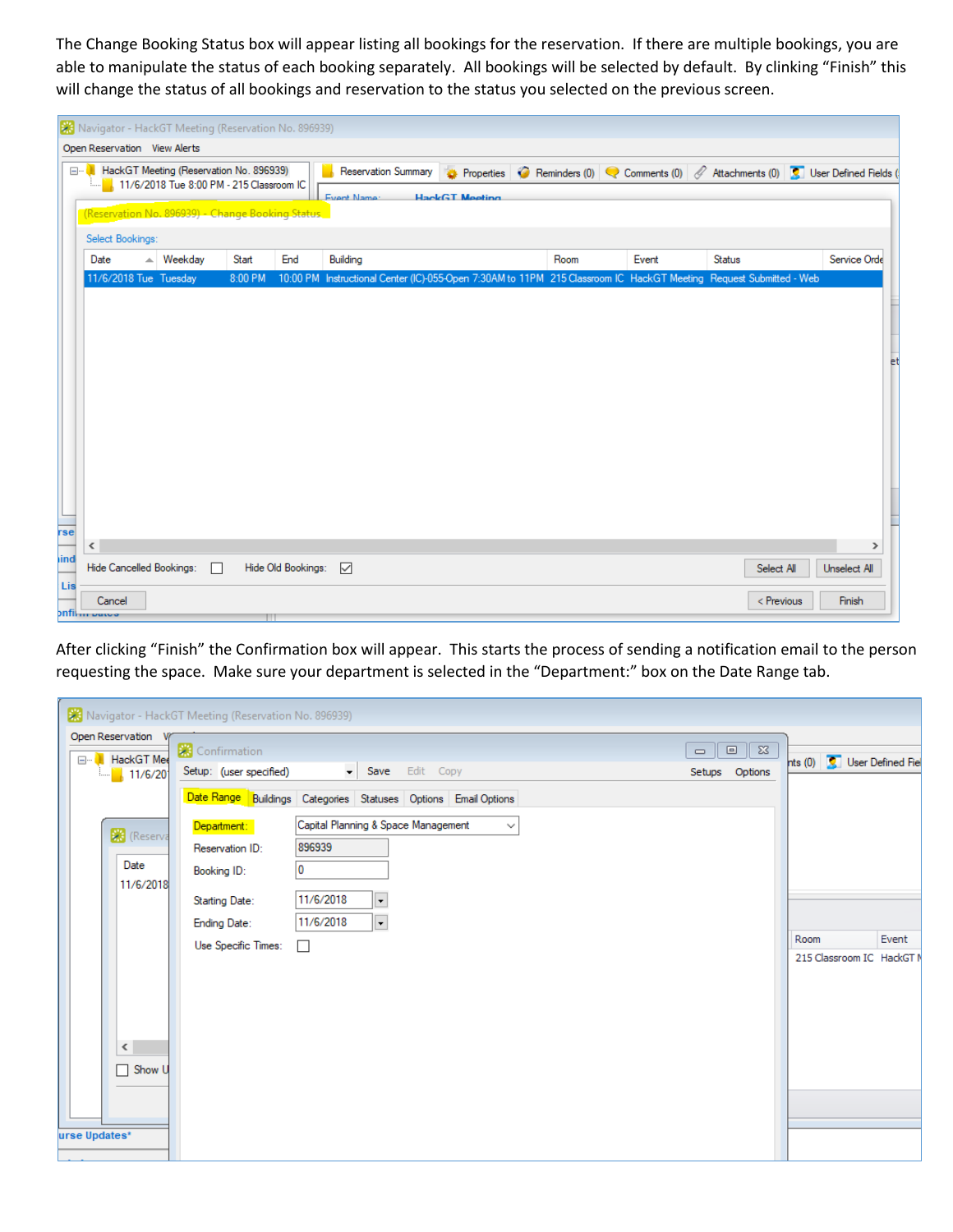The Change Booking Status box will appear listing all bookings for the reservation. If there are multiple bookings, you are able to manipulate the status of each booking separately. All bookings will be selected by default. By clinking "Finish" this will change the status of all bookings and reservation to the status you selected on the previous screen.

|     |              | X Navigator - HackGT Meeting (Reservation No. 896939)                                        |         |   |         |                    |                                                                                                           |                       |      |                                                                    |            |              |    |
|-----|--------------|----------------------------------------------------------------------------------------------|---------|---|---------|--------------------|-----------------------------------------------------------------------------------------------------------|-----------------------|------|--------------------------------------------------------------------|------------|--------------|----|
|     |              | Open Reservation View Alerts                                                                 |         |   |         |                    |                                                                                                           |                       |      |                                                                    |            |              |    |
|     |              | <b>E HackGT Meeting (Reservation No. 896939)</b><br>11/6/2018 Tue 8:00 PM - 215 Classroom IC |         |   |         |                    | <b>Reservation Summary</b>                                                                                | Properties            |      | Reminders (0) Comments (0) Attachments (0) C User Defined Fields ( |            |              |    |
|     |              |                                                                                              |         |   |         |                    | <b>Event Name:</b>                                                                                        | <b>HackGT</b> Meeting |      |                                                                    |            |              |    |
|     |              | (Reservation No. 896939) - Change Booking Status                                             |         |   |         |                    |                                                                                                           |                       |      |                                                                    |            |              |    |
|     |              | Select Bookings:                                                                             |         |   |         |                    |                                                                                                           |                       |      |                                                                    |            |              |    |
|     | Date         | A.                                                                                           | Weekday |   | Start   | End                | Building                                                                                                  |                       | Room | Event                                                              | Status     | Service Orde |    |
|     |              | 11/6/2018 Tue Tuesday                                                                        |         |   | 8:00 PM | 10:00 PM           | Instructional Center (IC)-055-Open 7:30AM to 11PM 215 Classroom IC HackGT Meeting Request Submitted - Web |                       |      |                                                                    |            |              |    |
|     |              |                                                                                              |         |   |         |                    |                                                                                                           |                       |      |                                                                    |            |              |    |
|     |              |                                                                                              |         |   |         |                    |                                                                                                           |                       |      |                                                                    |            |              |    |
|     |              |                                                                                              |         |   |         |                    |                                                                                                           |                       |      |                                                                    |            |              |    |
|     |              |                                                                                              |         |   |         |                    |                                                                                                           |                       |      |                                                                    |            |              | et |
|     |              |                                                                                              |         |   |         |                    |                                                                                                           |                       |      |                                                                    |            |              |    |
|     |              |                                                                                              |         |   |         |                    |                                                                                                           |                       |      |                                                                    |            |              |    |
|     |              |                                                                                              |         |   |         |                    |                                                                                                           |                       |      |                                                                    |            |              |    |
|     |              |                                                                                              |         |   |         |                    |                                                                                                           |                       |      |                                                                    |            |              |    |
|     |              |                                                                                              |         |   |         |                    |                                                                                                           |                       |      |                                                                    |            |              |    |
|     |              |                                                                                              |         |   |         |                    |                                                                                                           |                       |      |                                                                    |            |              |    |
|     |              |                                                                                              |         |   |         |                    |                                                                                                           |                       |      |                                                                    |            |              |    |
| rse |              |                                                                                              |         |   |         |                    |                                                                                                           |                       |      |                                                                    |            |              |    |
| ind | $\leq$       |                                                                                              |         |   |         |                    |                                                                                                           |                       |      |                                                                    |            | ⋗            |    |
|     |              | Hide Cancelled Bookings:                                                                     |         | П |         | Hide Old Bookings: | $\overline{\smile}$                                                                                       |                       |      |                                                                    | Select All | Unselect All |    |
| Lis |              | Cancel                                                                                       |         |   |         |                    |                                                                                                           |                       |      |                                                                    | < Previous | Finish       |    |
|     | onfilm patoo |                                                                                              |         |   |         |                    |                                                                                                           |                       |      |                                                                    |            |              |    |

After clicking "Finish" the Confirmation box will appear. This starts the process of sending a notification email to the person requesting the space. Make sure your department is selected in the "Department:" box on the Date Range tab.

|                                              | Navigator - HackGT Meeting (Reservation No. 896939)                |                                                  |                                    |
|----------------------------------------------|--------------------------------------------------------------------|--------------------------------------------------|------------------------------------|
| Open Reservation<br>⊟ <sup></sup> HackGT Mee | Confirmation                                                       | $\boxed{0}$ $\boxed{23}$<br>$\qquad \qquad \Box$ |                                    |
| 11/6/20<br>1I                                | Save Edit Copy<br>Setup: (user specified)                          | Setups Options                                   | hts (0) <b>Q</b> User Defined Fiel |
|                                              | Date Range Buildings Categories Statuses Options Email Options     |                                                  |                                    |
| <b>XX</b> (Reserva                           | Capital Planning & Space Management<br>Department:<br>$\checkmark$ |                                                  |                                    |
|                                              | 896939<br>Reservation ID:                                          |                                                  |                                    |
| Date                                         | 0<br>Booking ID:                                                   |                                                  |                                    |
| 11/6/2018                                    | 11/6/2018<br>$\overline{\phantom{a}}$<br><b>Starting Date:</b>     |                                                  |                                    |
|                                              | $\overline{\phantom{0}}$<br>11/6/2018<br>Ending Date:              |                                                  |                                    |
|                                              | Use Specific Times:<br>П                                           |                                                  | Event<br>Room                      |
|                                              |                                                                    |                                                  | 215 Classroom IC HackGT N          |
|                                              |                                                                    |                                                  |                                    |
|                                              |                                                                    |                                                  |                                    |
|                                              |                                                                    |                                                  |                                    |
| $\leq$                                       |                                                                    |                                                  |                                    |
| $\Box$ Show U                                |                                                                    |                                                  |                                    |
|                                              |                                                                    |                                                  |                                    |
|                                              |                                                                    |                                                  |                                    |
| urse Updates*                                |                                                                    |                                                  |                                    |
|                                              |                                                                    |                                                  |                                    |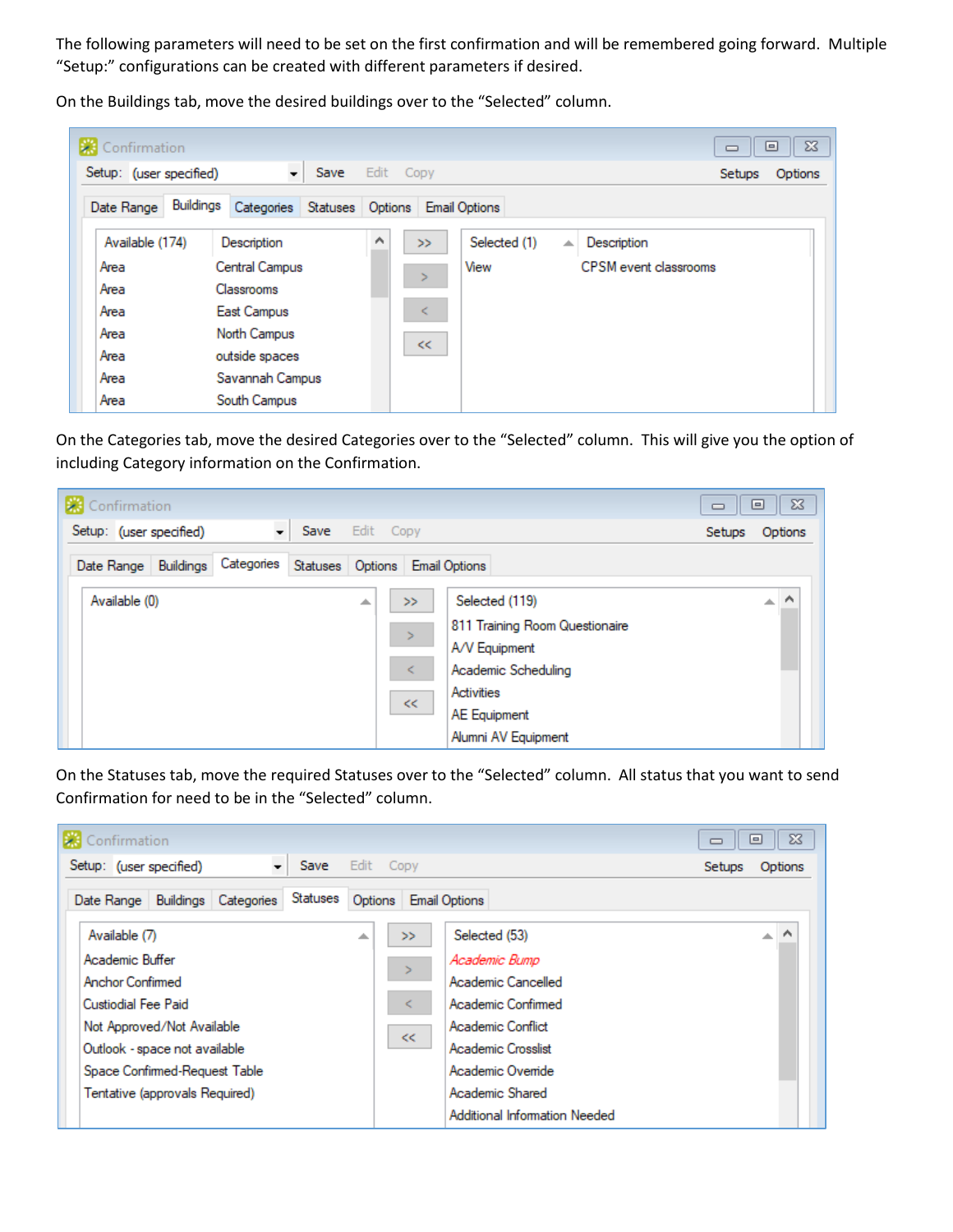The following parameters will need to be set on the first confirmation and will be remembered going forward. Multiple "Setup:" configurations can be created with different parameters if desired.

Confirmation  $\Sigma\!$  $\boxdot$  $\qquad \qquad \Box$ Setup: (user specified) Save  $\!\!\star$ Edit Copy Setups Options Date Range Buildings Categories Statuses Options Email Options Available (174) Description ۸ Selected (1)  $\blacktriangle$  Description  $>>$ Area Central Campus View CPSM event classrooms ъ Area Classrooms East Campus Area ≺ Area North Campus  $<<$ Area outside spaces Area Savannah Campus South Campus Area

On the Buildings tab, move the desired buildings over to the "Selected" column.

On the Categories tab, move the desired Categories over to the "Selected" column. This will give you the option of including Category information on the Confirmation.

| Confirmation            |                                           |                                                                                                                                                                                  | $\Sigma$<br>回<br>$\Box$       |
|-------------------------|-------------------------------------------|----------------------------------------------------------------------------------------------------------------------------------------------------------------------------------|-------------------------------|
| Setup: (user specified) | ÷<br>Save<br>Edit Copy                    |                                                                                                                                                                                  | Options<br><b>Setups</b>      |
| Date Range Buildings    | Categories Statuses Options Email Options |                                                                                                                                                                                  |                               |
| Available (0)           | 스                                         | Selected (119)<br>>><br>811 Training Room Questionaire<br>$\,>$<br>A/V Equipment<br>Academic Scheduling<br>≺<br>Activities<br>$<<$<br><b>AE Equipment</b><br>Alumni AV Equipment | $\overline{a}$ $\overline{b}$ |

On the Statuses tab, move the required Statuses over to the "Selected" column. All status that you want to send Confirmation for need to be in the "Selected" column.

| Confirmation                                                                                                                                                                                                       |                                                                                                                                                                                | $\Sigma$<br>$\Box$<br>$\Box$ |
|--------------------------------------------------------------------------------------------------------------------------------------------------------------------------------------------------------------------|--------------------------------------------------------------------------------------------------------------------------------------------------------------------------------|------------------------------|
| $\overline{\phantom{a}}$<br>Save<br>Setup: (user specified)                                                                                                                                                        | Edit Copy                                                                                                                                                                      | Options<br><b>Setups</b>     |
| Statuses<br>Date Range   Buildings   Categories                                                                                                                                                                    | Options Email Options                                                                                                                                                          |                              |
| Available (7)<br>∸<br>Academic Buffer<br>Anchor Confirmed<br>Custiodial Fee Paid<br>Not Approved/Not Available<br>Outlook - space not available<br>Space Confirmed-Request Table<br>Tentative (approvals Required) | Selected (53)<br>>><br>Academic Bump<br>Academic Cancelled<br>Academic Confirmed<br>⋖<br>Academic Conflict<br><<<br>Academic Crosslist<br>Academic Override<br>Academic Shared | ∧<br>$\Delta \mathcal{L}$    |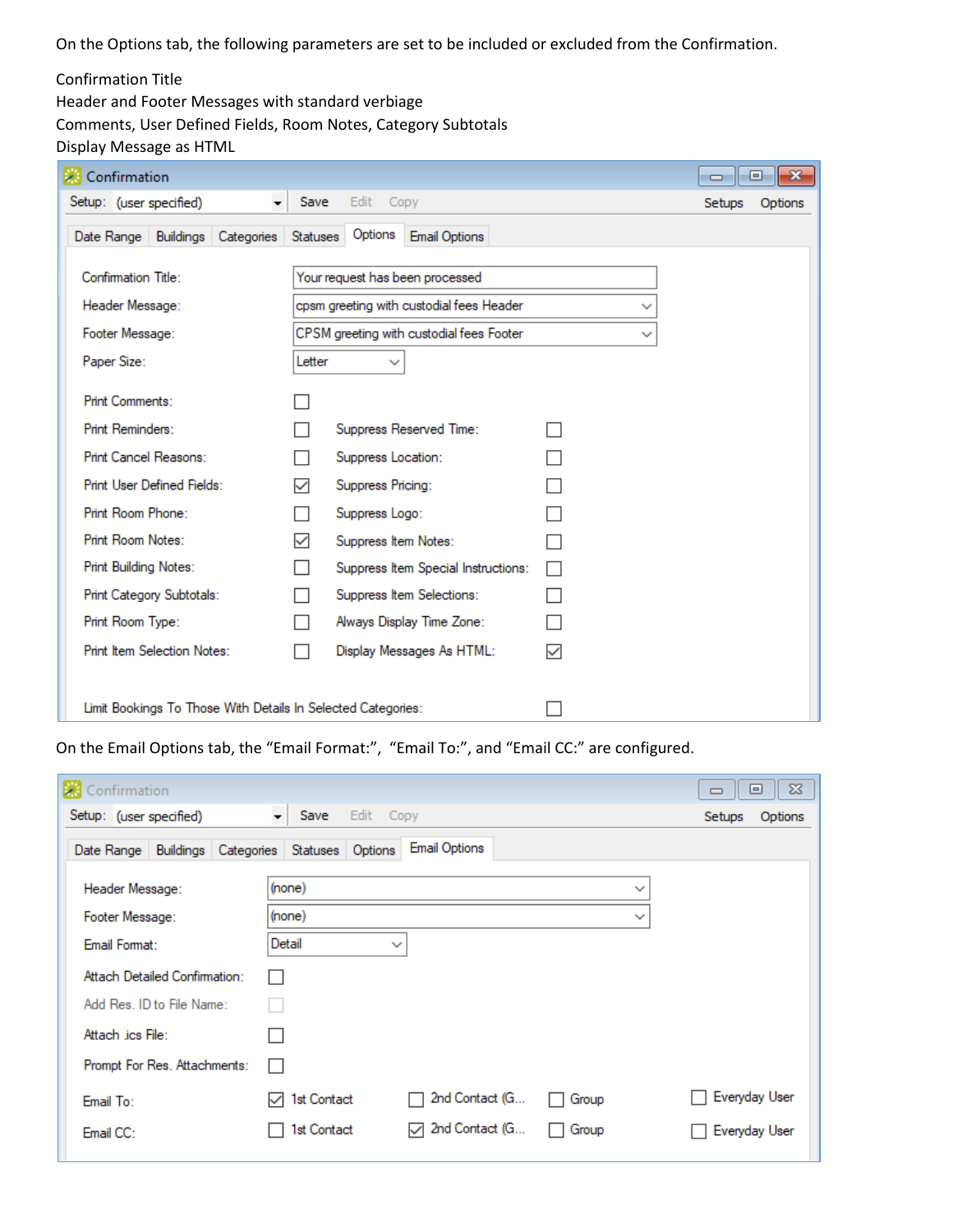On the Options tab, the following parameters are set to be included or excluded from the Confirmation.

## Confirmation Title

Header and Footer Messages with standard verbiage Comments, User Defined Fields, Room Notes, Category Subtotals Display Message as HTML

| Confirmation                                                 |          |                      |                                          |   | $\Box$ | $\  \mathbf{x} \ $<br>o |
|--------------------------------------------------------------|----------|----------------------|------------------------------------------|---|--------|-------------------------|
| Setup: (user specified)<br>$\cdot$                           | Save     | Edit<br>Copy         |                                          |   | Setups | Options                 |
| Date Range   Buildings   Categories                          | Statuses | Options              | <b>Email Options</b>                     |   |        |                         |
| Confirmation Title:                                          |          |                      | Your request has been processed          |   |        |                         |
| Header Message:                                              |          |                      | cpsm greeting with custodial fees Header |   |        |                         |
| Footer Message:                                              |          |                      | CPSM greeting with custodial fees Footer | ✓ |        |                         |
| Paper Size:                                                  | Letter   | $\checkmark$         |                                          |   |        |                         |
| <b>Print Comments:</b>                                       |          |                      |                                          |   |        |                         |
| Print Reminders:                                             |          |                      | Suppress Reserved Time:                  |   |        |                         |
| Print Cancel Reasons:                                        |          | Suppress Location:   |                                          |   |        |                         |
| <b>Print User Defined Fields:</b>                            | ✓        | Suppress Pricing:    |                                          |   |        |                         |
| Print Room Phone:                                            |          | Suppress Logo:       |                                          |   |        |                         |
| Print Room Notes:                                            | ✓        | Suppress Item Notes: |                                          |   |        |                         |
| <b>Print Building Notes:</b>                                 |          |                      | Suppress Item Special Instructions:      |   |        |                         |
| Print Category Subtotals:                                    |          |                      | Suppress Item Selections:                |   |        |                         |
| Print Room Type:                                             |          |                      | Always Display Time Zone:                |   |        |                         |
| <b>Print Item Selection Notes:</b>                           |          |                      | Display Messages As HTML:                | ✓ |        |                         |
|                                                              |          |                      |                                          |   |        |                         |
| Limit Bookings To Those With Details In Selected Categories: |          |                      |                                          |   |        |                         |

On the Email Options tab, the "Email Format:", "Email To:", and "Email CC:" are configured.

| Confirmation                                             |                                                        | $\Sigma$<br>▣<br>$\qquad \qquad \Box$ |
|----------------------------------------------------------|--------------------------------------------------------|---------------------------------------|
| Setup: (user specified)                                  | $\overline{\phantom{a}}$ Save<br>Edit Copy             | Setups<br>Options                     |
| Date Range   Buildings   Categories   Statuses   Options | <b>Email Options</b>                                   |                                       |
| Header Message:                                          | (none)<br>$\checkmark$                                 |                                       |
| Footer Message:                                          | (none)<br>$\checkmark$                                 |                                       |
| Email Format:                                            | Detail<br>$\checkmark$                                 |                                       |
| Attach Detailed Confirmation:                            |                                                        |                                       |
| Add Res. ID to File Name:                                |                                                        |                                       |
| Attach .ics File:                                        |                                                        |                                       |
| Prompt For Res. Attachments:                             |                                                        |                                       |
| Email To:                                                | 2nd Contact (G<br>1st Contact<br>Group<br>↜            | Everyday User                         |
| Email CC:                                                | 2nd Contact (G<br>1st Contact<br>$\checkmark$<br>Group | Everyday User                         |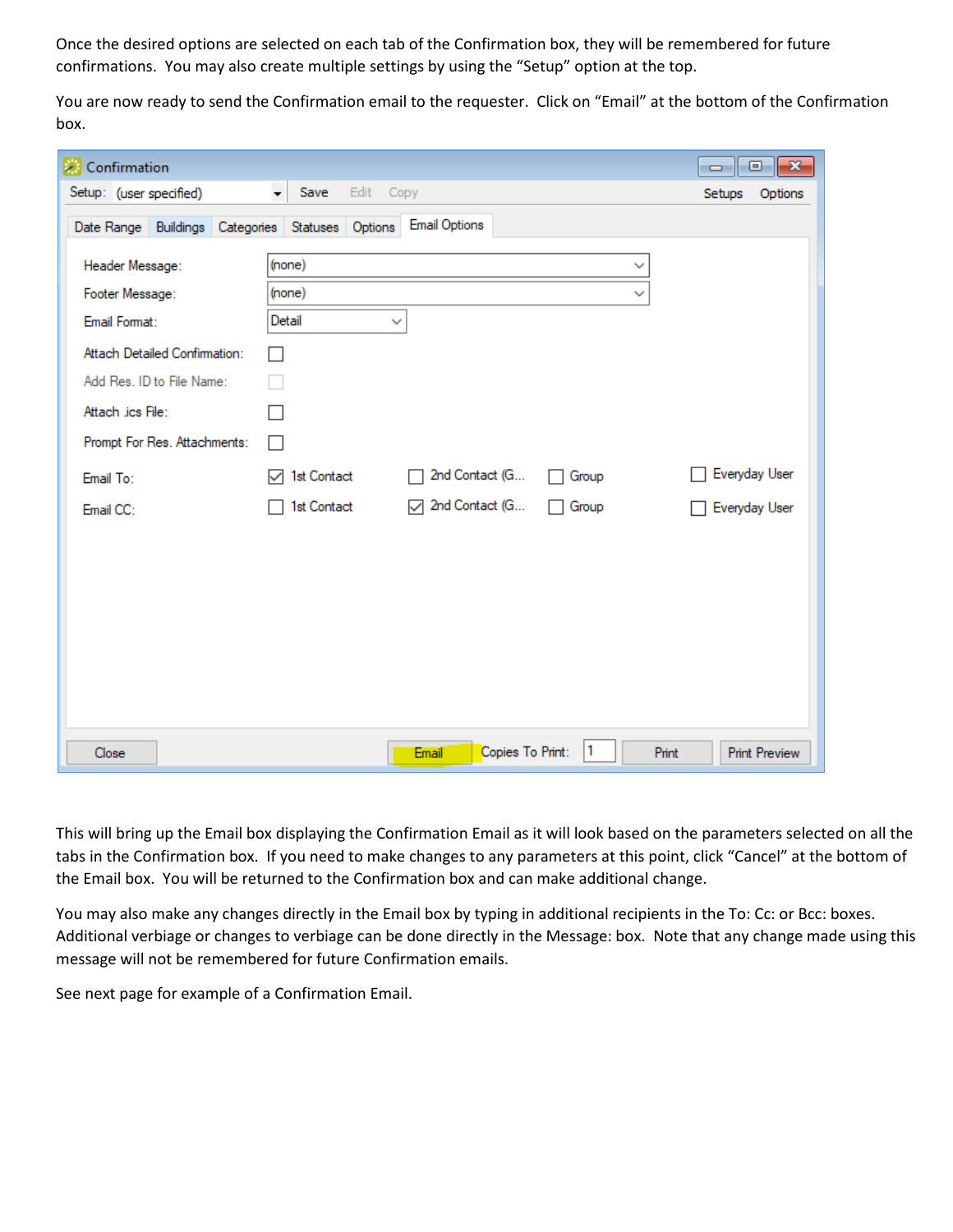Once the desired options are selected on each tab of the Confirmation box, they will be remembered for future confirmations. You may also create multiple settings by using the "Setup" option at the top.

You are now ready to send the Confirmation email to the requester. Click on "Email" at the bottom of the Confirmation box.

| Confirmation                                     |                                                        | $\begin{array}{c c c c c c} \hline \multicolumn{3}{c }{\mathbf{C}} & \multicolumn{3}{c }{\mathbf{S}} & \multicolumn{3}{c }{\mathbf{X}} \\\hline \multicolumn{3}{c }{\mathbf{C}} & \multicolumn{3}{c }{\mathbf{S}} & \multicolumn{3}{c }{\mathbf{S}} & \multicolumn{3}{c }{\mathbf{S}} \\\hline \multicolumn{3}{c }{\mathbf{C}} & \multicolumn{3}{c }{\mathbf{S}} & \multicolumn{3}{c }{\mathbf{S}} & \multicolumn{3}{c }{\mathbf{S}} \\\hline \multicolumn$ |
|--------------------------------------------------|--------------------------------------------------------|-------------------------------------------------------------------------------------------------------------------------------------------------------------------------------------------------------------------------------------------------------------------------------------------------------------------------------------------------------------------------------------------------------------------------------------------------------------|
| Setup: (user specified)                          | $\overline{\phantom{a}}$<br>Save<br>Edit<br>Copy       | Setups<br>Options                                                                                                                                                                                                                                                                                                                                                                                                                                           |
| Date Range Buildings Categories Statuses Options | <b>Email Options</b>                                   |                                                                                                                                                                                                                                                                                                                                                                                                                                                             |
| Header Message:                                  | (none)<br>$\checkmark$                                 |                                                                                                                                                                                                                                                                                                                                                                                                                                                             |
| Footer Message:                                  | (none)<br>✓                                            |                                                                                                                                                                                                                                                                                                                                                                                                                                                             |
| Email Format:                                    | Detail<br>$\checkmark$                                 |                                                                                                                                                                                                                                                                                                                                                                                                                                                             |
| Attach Detailed Confirmation:                    |                                                        |                                                                                                                                                                                                                                                                                                                                                                                                                                                             |
| Add Res. ID to File Name:                        |                                                        |                                                                                                                                                                                                                                                                                                                                                                                                                                                             |
| Attach .ics File:                                |                                                        |                                                                                                                                                                                                                                                                                                                                                                                                                                                             |
| Prompt For Res. Attachments:                     | П                                                      |                                                                                                                                                                                                                                                                                                                                                                                                                                                             |
| Email To:                                        | 2nd Contact (G<br>1st Contact<br>Group<br>$\mathbf{1}$ | Everyday User                                                                                                                                                                                                                                                                                                                                                                                                                                               |
| Email CC:                                        | 7 2nd Contact (G<br>1st Contact<br>Group<br>H          | Everyday User                                                                                                                                                                                                                                                                                                                                                                                                                                               |
|                                                  |                                                        |                                                                                                                                                                                                                                                                                                                                                                                                                                                             |
|                                                  |                                                        |                                                                                                                                                                                                                                                                                                                                                                                                                                                             |
|                                                  |                                                        |                                                                                                                                                                                                                                                                                                                                                                                                                                                             |
|                                                  |                                                        |                                                                                                                                                                                                                                                                                                                                                                                                                                                             |
|                                                  |                                                        |                                                                                                                                                                                                                                                                                                                                                                                                                                                             |
|                                                  |                                                        |                                                                                                                                                                                                                                                                                                                                                                                                                                                             |
|                                                  |                                                        |                                                                                                                                                                                                                                                                                                                                                                                                                                                             |
| Close                                            | Copies To Print:<br>1<br>Print<br>Email                | <b>Print Preview</b>                                                                                                                                                                                                                                                                                                                                                                                                                                        |

This will bring up the Email box displaying the Confirmation Email as it will look based on the parameters selected on all the tabs in the Confirmation box. If you need to make changes to any parameters at this point, click "Cancel" at the bottom of the Email box. You will be returned to the Confirmation box and can make additional change.

You may also make any changes directly in the Email box by typing in additional recipients in the To: Cc: or Bcc: boxes. Additional verbiage or changes to verbiage can be done directly in the Message: box. Note that any change made using this message will not be remembered for future Confirmation emails.

See next page for example of a Confirmation Email.